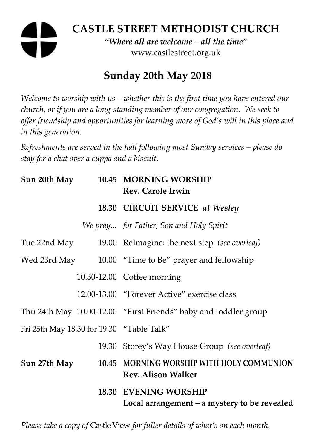# **CASTLE STREET METHODIST CHURCH**  *"Where all are welcome – all the time"*  www.castlestreet.org.uk

# **Sunday 20th May 2018**

*Welcome to worship with us – whether this is the first time you have entered our church, or if you are a long-standing member of our congregation. We seek to offer friendship and opportunities for learning more of God's will in this place and in this generation.* 

*Refreshments are served in the hall following most Sunday services – please do stay for a chat over a cuppa and a biscuit.* 

| Sun 20th May                              | 10.45 MORNING WORSHIP<br><b>Rev. Carole Irwin</b>                            |
|-------------------------------------------|------------------------------------------------------------------------------|
|                                           | 18.30 CIRCUIT SERVICE at Wesley                                              |
|                                           | We pray for Father, Son and Holy Spirit                                      |
| Tue 22nd May                              | 19.00 ReImagine: the next step (see overleaf)                                |
|                                           | Wed 23rd May 10.00 "Time to Be" prayer and fellowship                        |
|                                           | 10.30-12.00 Coffee morning                                                   |
|                                           | 12.00-13.00 "Forever Active" exercise class                                  |
|                                           | Thu 24th May 10.00-12.00 "First Friends" baby and toddler group              |
| Fri 25th May 18.30 for 19.30 "Table Talk" |                                                                              |
|                                           | 19.30 Storey's Way House Group (see overleaf)                                |
| Sun 27th May                              | 10.45 MORNING WORSHIP WITH HOLY COMMUNION<br><b>Rev. Alison Walker</b>       |
|                                           | <b>18.30 EVENING WORSHIP</b><br>Local arrangement – a mystery to be revealed |

*Please take a copy of* Castle View *for fuller details of what's on each month.*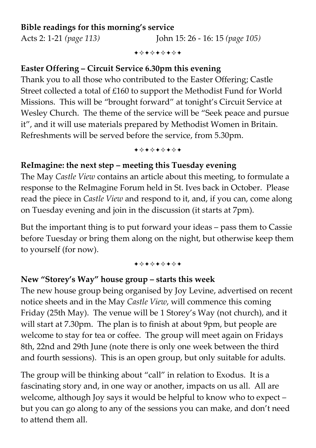## **Bible readings for this morning's service**

Acts 2: 1-21 *(page 113)* John 15: 26 - 16: 15 *(page 105)*

+⊹+⊹+⊹+⊹+

#### **Easter Offering – Circuit Service 6.30pm this evening**

Thank you to all those who contributed to the Easter Offering; Castle Street collected a total of £160 to support the Methodist Fund for World Missions. This will be "brought forward" at tonight's Circuit Service at Wesley Church. The theme of the service will be "Seek peace and pursue it", and it will use materials prepared by Methodist Women in Britain. Refreshments will be served before the service, from 5.30pm.

+\*+\*\*\*\*+

#### **ReImagine: the next step – meeting this Tuesday evening**

The May *Castle View* contains an article about this meeting, to formulate a response to the ReImagine Forum held in St. Ives back in October. Please read the piece in *Castle View* and respond to it, and, if you can, come along on Tuesday evening and join in the discussion (it starts at 7pm).

But the important thing is to put forward your ideas – pass them to Cassie before Tuesday or bring them along on the night, but otherwise keep them to yourself (for now).

#### +\*+\*\*\*\*+

#### **New "Storey's Way" house group – starts this week**

The new house group being organised by Joy Levine, advertised on recent notice sheets and in the May *Castle View*, will commence this coming Friday (25th May). The venue will be 1 Storey's Way (not church), and it will start at 7.30pm. The plan is to finish at about 9pm, but people are welcome to stay for tea or coffee. The group will meet again on Fridays 8th, 22nd and 29th June (note there is only one week between the third and fourth sessions). This is an open group, but only suitable for adults.

The group will be thinking about "call" in relation to Exodus. It is a fascinating story and, in one way or another, impacts on us all. All are welcome, although Joy says it would be helpful to know who to expect – but you can go along to any of the sessions you can make, and don't need to attend them all.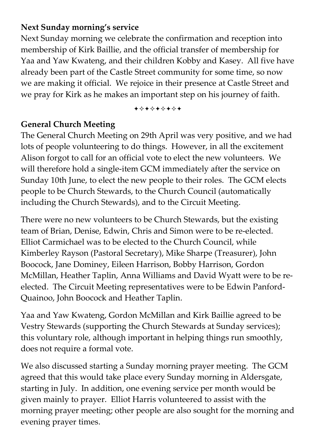# **Next Sunday morning's service**

Next Sunday morning we celebrate the confirmation and reception into membership of Kirk Baillie, and the official transfer of membership for Yaa and Yaw Kwateng, and their children Kobby and Kasey. All five have already been part of the Castle Street community for some time, so now we are making it official. We rejoice in their presence at Castle Street and we pray for Kirk as he makes an important step on his journey of faith.

+\*\*\*\*\*\*\*

# **General Church Meeting**

The General Church Meeting on 29th April was very positive, and we had lots of people volunteering to do things. However, in all the excitement Alison forgot to call for an official vote to elect the new volunteers. We will therefore hold a single-item GCM immediately after the service on Sunday 10th June, to elect the new people to their roles. The GCM elects people to be Church Stewards, to the Church Council (automatically including the Church Stewards), and to the Circuit Meeting.

There were no new volunteers to be Church Stewards, but the existing team of Brian, Denise, Edwin, Chris and Simon were to be re-elected. Elliot Carmichael was to be elected to the Church Council, while Kimberley Rayson (Pastoral Secretary), Mike Sharpe (Treasurer), John Boocock, Jane Dominey, Eileen Harrison, Bobby Harrison, Gordon McMillan, Heather Taplin, Anna Williams and David Wyatt were to be reelected. The Circuit Meeting representatives were to be Edwin Panford-Quainoo, John Boocock and Heather Taplin.

Yaa and Yaw Kwateng, Gordon McMillan and Kirk Baillie agreed to be Vestry Stewards (supporting the Church Stewards at Sunday services); this voluntary role, although important in helping things run smoothly, does not require a formal vote.

We also discussed starting a Sunday morning prayer meeting. The GCM agreed that this would take place every Sunday morning in Aldersgate, starting in July. In addition, one evening service per month would be given mainly to prayer. Elliot Harris volunteered to assist with the morning prayer meeting; other people are also sought for the morning and evening prayer times.